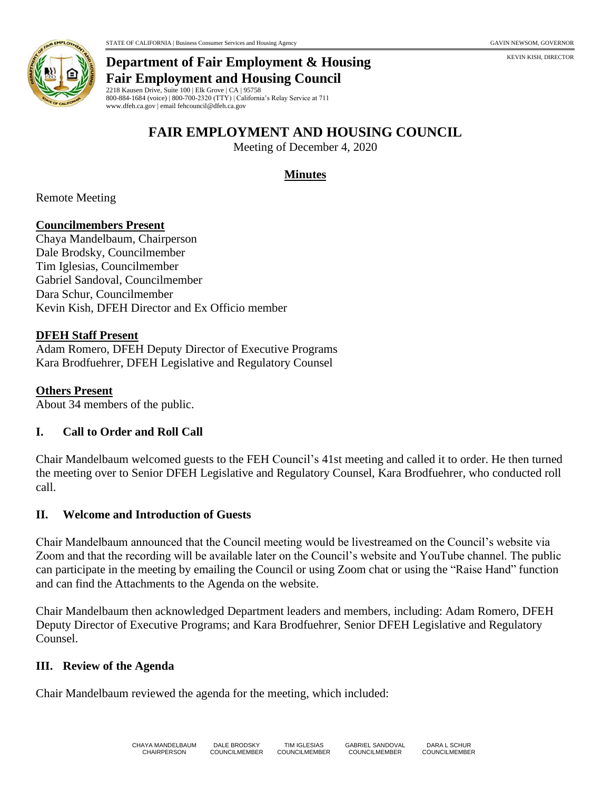

#### **Department of Fair Employment & Housing Fair Employment and Housing Council**

2218 Kausen Drive, Suite 100 | Elk Grove | CA | 95758 800-884-1684 (voice) | 800-700-2320 (TTY) | California's Relay Service at 711 www.dfeh.ca.gov | email fehcouncil@dfeh.ca.gov

# **FAIR EMPLOYMENT AND HOUSING COUNCIL**

Meeting of December 4, 2020

### **Minutes**

Remote Meeting

#### **Councilmembers Present**

Chaya Mandelbaum, Chairperson Dale Brodsky, Councilmember Tim Iglesias, Councilmember Gabriel Sandoval, Councilmember Dara Schur, Councilmember Kevin Kish, DFEH Director and Ex Officio member

#### **DFEH Staff Present**

Adam Romero, DFEH Deputy Director of Executive Programs Kara Brodfuehrer, DFEH Legislative and Regulatory Counsel

#### **Others Present**

About 34 members of the public.

#### **I. Call to Order and Roll Call**

Chair Mandelbaum welcomed guests to the FEH Council's 41st meeting and called it to order. He then turned the meeting over to Senior DFEH Legislative and Regulatory Counsel, Kara Brodfuehrer, who conducted roll call.

#### **II. Welcome and Introduction of Guests**

Chair Mandelbaum announced that the Council meeting would be livestreamed on the Council's website via Zoom and that the recording will be available later on the Council's website and YouTube channel. The public can participate in the meeting by emailing the Council or using Zoom chat or using the "Raise Hand" function and can find the Attachments to the Agenda on the website.

Chair Mandelbaum then acknowledged Department leaders and members, including: Adam Romero, DFEH Deputy Director of Executive Programs; and Kara Brodfuehrer, Senior DFEH Legislative and Regulatory Counsel.

#### **III. Review of the Agenda**

Chair Mandelbaum reviewed the agenda for the meeting, which included: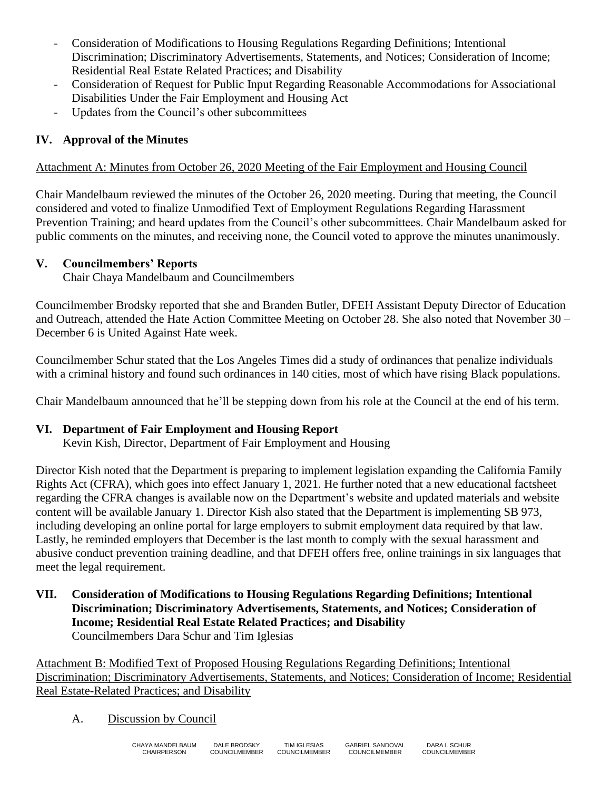- Consideration of Modifications to Housing Regulations Regarding Definitions; Intentional Discrimination; Discriminatory Advertisements, Statements, and Notices; Consideration of Income; Residential Real Estate Related Practices; and Disability
- Consideration of Request for Public Input Regarding Reasonable Accommodations for Associational Disabilities Under the Fair Employment and Housing Act
- Updates from the Council's other subcommittees

## **IV. Approval of the Minutes**

### Attachment A: Minutes from October 26, 2020 Meeting of the Fair Employment and Housing Council

Chair Mandelbaum reviewed the minutes of the October 26, 2020 meeting. During that meeting, the Council considered and voted to finalize Unmodified Text of Employment Regulations Regarding Harassment Prevention Training; and heard updates from the Council's other subcommittees. Chair Mandelbaum asked for public comments on the minutes, and receiving none, the Council voted to approve the minutes unanimously.

### **V. Councilmembers' Reports**

Chair Chaya Mandelbaum and Councilmembers

Councilmember Brodsky reported that she and Branden Butler, DFEH Assistant Deputy Director of Education and Outreach, attended the Hate Action Committee Meeting on October 28. She also noted that November 30 – December 6 is United Against Hate week.

Councilmember Schur stated that the Los Angeles Times did a study of ordinances that penalize individuals with a criminal history and found such ordinances in 140 cities, most of which have rising Black populations.

Chair Mandelbaum announced that he'll be stepping down from his role at the Council at the end of his term.

## **VI. Department of Fair Employment and Housing Report**

Kevin Kish, Director, Department of Fair Employment and Housing

Director Kish noted that the Department is preparing to implement legislation expanding the California Family Rights Act (CFRA), which goes into effect January 1, 2021. He further noted that a new educational factsheet regarding the CFRA changes is available now on the Department's website and updated materials and website content will be available January 1. Director Kish also stated that the Department is implementing SB 973, including developing an online portal for large employers to submit employment data required by that law. Lastly, he reminded employers that December is the last month to comply with the sexual harassment and abusive conduct prevention training deadline, and that DFEH offers free, online trainings in six languages that meet the legal requirement.

**VII. Consideration of Modifications to Housing Regulations Regarding Definitions; Intentional Discrimination; Discriminatory Advertisements, Statements, and Notices; Consideration of Income; Residential Real Estate Related Practices; and Disability** Councilmembers Dara Schur and Tim Iglesias

Attachment B: Modified Text of Proposed Housing Regulations Regarding Definitions; Intentional Discrimination; Discriminatory Advertisements, Statements, and Notices; Consideration of Income; Residential Real Estate-Related Practices; and Disability

A. Discussion by Council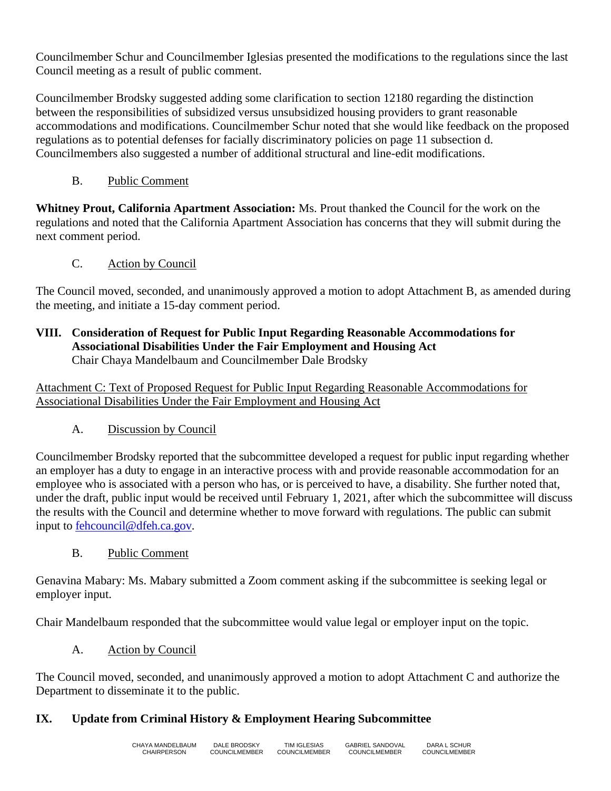Councilmember Schur and Councilmember Iglesias presented the modifications to the regulations since the last Council meeting as a result of public comment.

Councilmember Brodsky suggested adding some clarification to section 12180 regarding the distinction between the responsibilities of subsidized versus unsubsidized housing providers to grant reasonable accommodations and modifications. Councilmember Schur noted that she would like feedback on the proposed regulations as to potential defenses for facially discriminatory policies on page 11 subsection d. Councilmembers also suggested a number of additional structural and line-edit modifications.

B. Public Comment

**Whitney Prout, California Apartment Association:** Ms. Prout thanked the Council for the work on the regulations and noted that the California Apartment Association has concerns that they will submit during the next comment period.

## C. Action by Council

The Council moved, seconded, and unanimously approved a motion to adopt Attachment B, as amended during the meeting, and initiate a 15-day comment period.

#### **VIII. Consideration of Request for Public Input Regarding Reasonable Accommodations for Associational Disabilities Under the Fair Employment and Housing Act** Chair Chaya Mandelbaum and Councilmember Dale Brodsky

Attachment C: Text of Proposed Request for Public Input Regarding Reasonable Accommodations for Associational Disabilities Under the Fair Employment and Housing Act

A. Discussion by Council

Councilmember Brodsky reported that the subcommittee developed a request for public input regarding whether an employer has a duty to engage in an interactive process with and provide reasonable accommodation for an employee who is associated with a person who has, or is perceived to have, a disability. She further noted that, under the draft, public input would be received until February 1, 2021, after which the subcommittee will discuss the results with the Council and determine whether to move forward with regulations. The public can submit input to [fehcouncil@dfeh.ca.gov.](mailto:fehcouncil@dfeh.ca.gov)

B. Public Comment

Genavina Mabary: Ms. Mabary submitted a Zoom comment asking if the subcommittee is seeking legal or employer input.

Chair Mandelbaum responded that the subcommittee would value legal or employer input on the topic.

A. Action by Council

The Council moved, seconded, and unanimously approved a motion to adopt Attachment C and authorize the Department to disseminate it to the public.

## **IX. Update from Criminal History & Employment Hearing Subcommittee**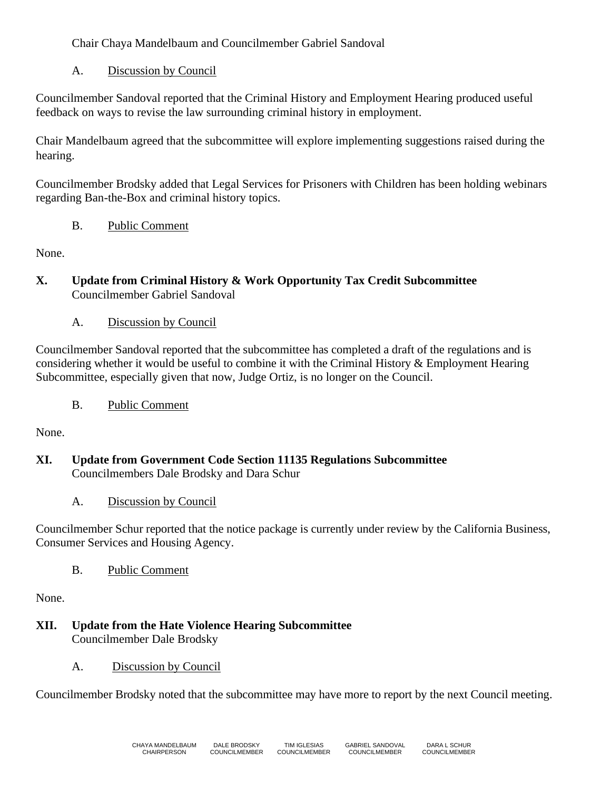Chair Chaya Mandelbaum and Councilmember Gabriel Sandoval

## A. Discussion by Council

Councilmember Sandoval reported that the Criminal History and Employment Hearing produced useful feedback on ways to revise the law surrounding criminal history in employment.

Chair Mandelbaum agreed that the subcommittee will explore implementing suggestions raised during the hearing.

Councilmember Brodsky added that Legal Services for Prisoners with Children has been holding webinars regarding Ban-the-Box and criminal history topics.

## B. Public Comment

None.

- **X. Update from Criminal History & Work Opportunity Tax Credit Subcommittee** Councilmember Gabriel Sandoval
	- A. Discussion by Council

Councilmember Sandoval reported that the subcommittee has completed a draft of the regulations and is considering whether it would be useful to combine it with the Criminal History & Employment Hearing Subcommittee, especially given that now, Judge Ortiz, is no longer on the Council.

B. Public Comment

None.

- **XI. Update from Government Code Section 11135 Regulations Subcommittee** Councilmembers Dale Brodsky and Dara Schur
	- A. Discussion by Council

Councilmember Schur reported that the notice package is currently under review by the California Business, Consumer Services and Housing Agency.

B. Public Comment

None.

**XII. Update from the Hate Violence Hearing Subcommittee** Councilmember Dale Brodsky

## A. Discussion by Council

Councilmember Brodsky noted that the subcommittee may have more to report by the next Council meeting.